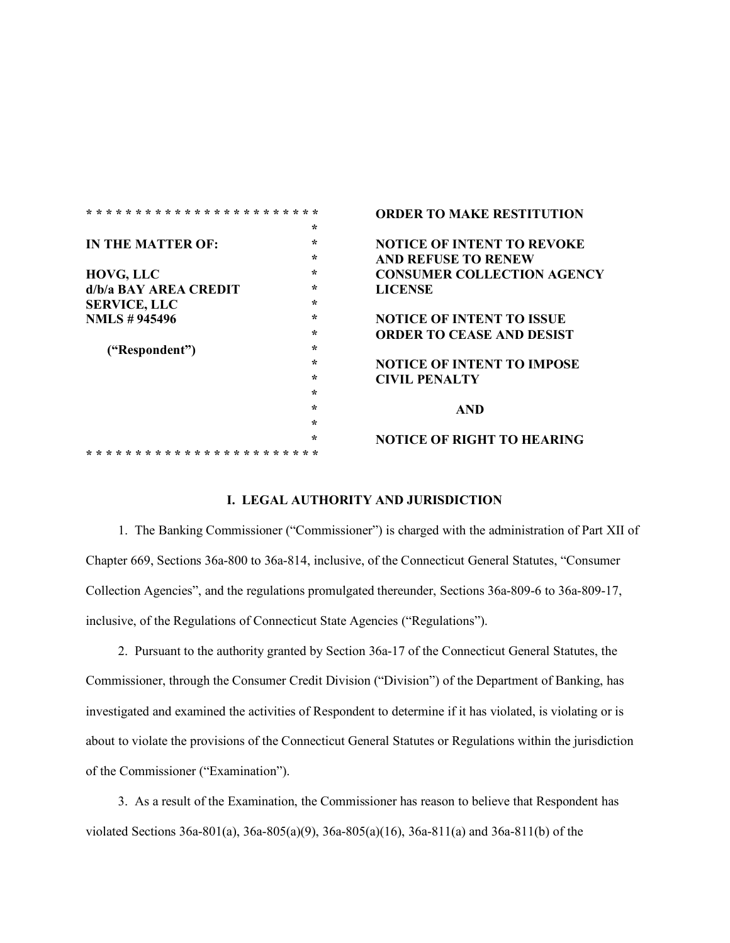|                       |         | <b>ORDER TO MAKE RESTITUTION</b>  |
|-----------------------|---------|-----------------------------------|
|                       | $\star$ |                                   |
| IN THE MATTER OF:     | $\star$ | <b>NOTICE OF INTENT TO REVOKE</b> |
|                       | ÷       | <b>AND REFUSE TO RENEW</b>        |
| HOVG, LLC             | ÷       | <b>CONSUMER COLLECTION AGENCY</b> |
| d/b/a BAY AREA CREDIT | ∗       | <b>LICENSE</b>                    |
| <b>SERVICE, LLC</b>   | $\star$ |                                   |
| <b>NMLS</b> #945496   | ∗       | <b>NOTICE OF INTENT TO ISSUE</b>  |
|                       | ÷       | <b>ORDER TO CEASE AND DESIST</b>  |
| ("Respondent")        | ÷       |                                   |
|                       | $\star$ | <b>NOTICE OF INTENT TO IMPOSE</b> |
|                       | ∗       | <b>CIVIL PENALTY</b>              |
|                       | ∻       |                                   |
|                       | ÷       | <b>AND</b>                        |
|                       | ÷       |                                   |
|                       | $\star$ | <b>NOTICE OF RIGHT TO HEARING</b> |
|                       |         |                                   |

### **I. LEGAL AUTHORITY AND JURISDICTION**

1. The Banking Commissioner ("Commissioner") is charged with the administration of Part XII of Chapter 669, Sections 36a-800 to 36a-814, inclusive, of the Connecticut General Statutes, "Consumer Collection Agencies", and the regulations promulgated thereunder, Sections 36a-809-6 to 36a-809-17, inclusive, of the Regulations of Connecticut State Agencies ("Regulations").

2. Pursuant to the authority granted by Section 36a-17 of the Connecticut General Statutes, the Commissioner, through the Consumer Credit Division ("Division") of the Department of Banking, has investigated and examined the activities of Respondent to determine if it has violated, is violating or is about to violate the provisions of the Connecticut General Statutes or Regulations within the jurisdiction of the Commissioner ("Examination").

3. As a result of the Examination, the Commissioner has reason to believe that Respondent has violated Sections 36a-801(a), 36a-805(a)(9), 36a-805(a)(16), 36a-811(a) and 36a-811(b) of the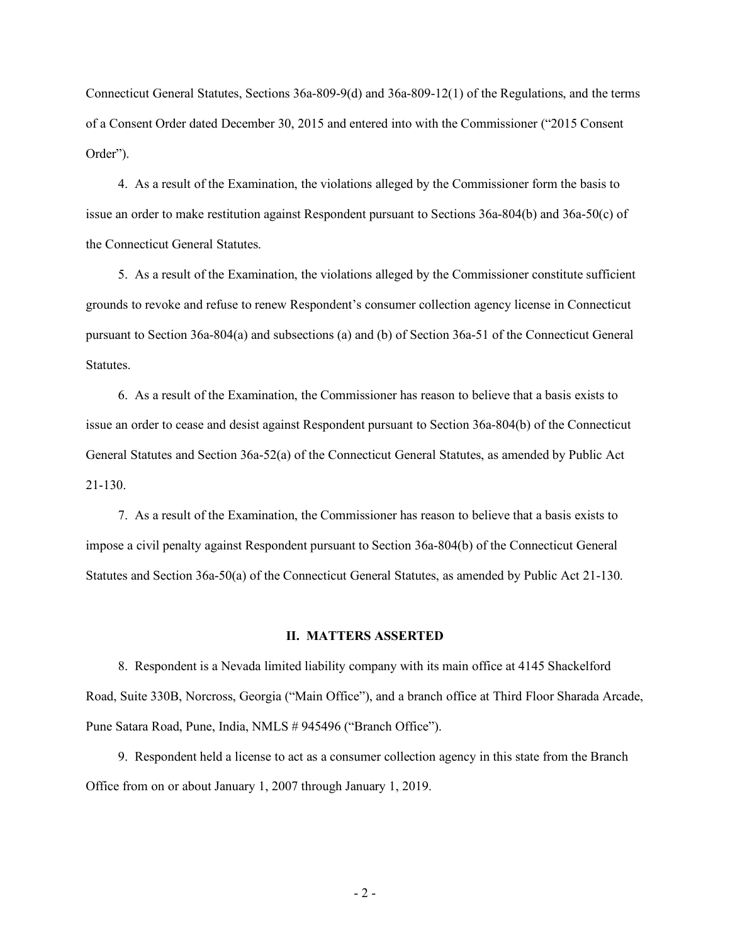Connecticut General Statutes, Sections 36a-809-9(d) and 36a-809-12(1) of the Regulations, and the terms of a Consent Order dated December 30, 2015 and entered into with the Commissioner ("2015 Consent Order").

4. As a result of the Examination, the violations alleged by the Commissioner form the basis to issue an order to make restitution against Respondent pursuant to Sections 36a-804(b) and 36a-50(c) of the Connecticut General Statutes.

5. As a result of the Examination, the violations alleged by the Commissioner constitute sufficient grounds to revoke and refuse to renew Respondent's consumer collection agency license in Connecticut pursuant to Section 36a-804(a) and subsections (a) and (b) of Section 36a-51 of the Connecticut General Statutes.

6. As a result of the Examination, the Commissioner has reason to believe that a basis exists to issue an order to cease and desist against Respondent pursuant to Section 36a-804(b) of the Connecticut General Statutes and Section 36a-52(a) of the Connecticut General Statutes, as amended by Public Act 21-130.

7. As a result of the Examination, the Commissioner has reason to believe that a basis exists to impose a civil penalty against Respondent pursuant to Section 36a-804(b) of the Connecticut General Statutes and Section 36a-50(a) of the Connecticut General Statutes, as amended by Public Act 21-130.

#### **II. MATTERS ASSERTED**

8. Respondent is a Nevada limited liability company with its main office at 4145 Shackelford Road, Suite 330B, Norcross, Georgia ("Main Office"), and a branch office at Third Floor Sharada Arcade, Pune Satara Road, Pune, India, NMLS # 945496 ("Branch Office").

9. Respondent held a license to act as a consumer collection agency in this state from the Branch Office from on or about January 1, 2007 through January 1, 2019.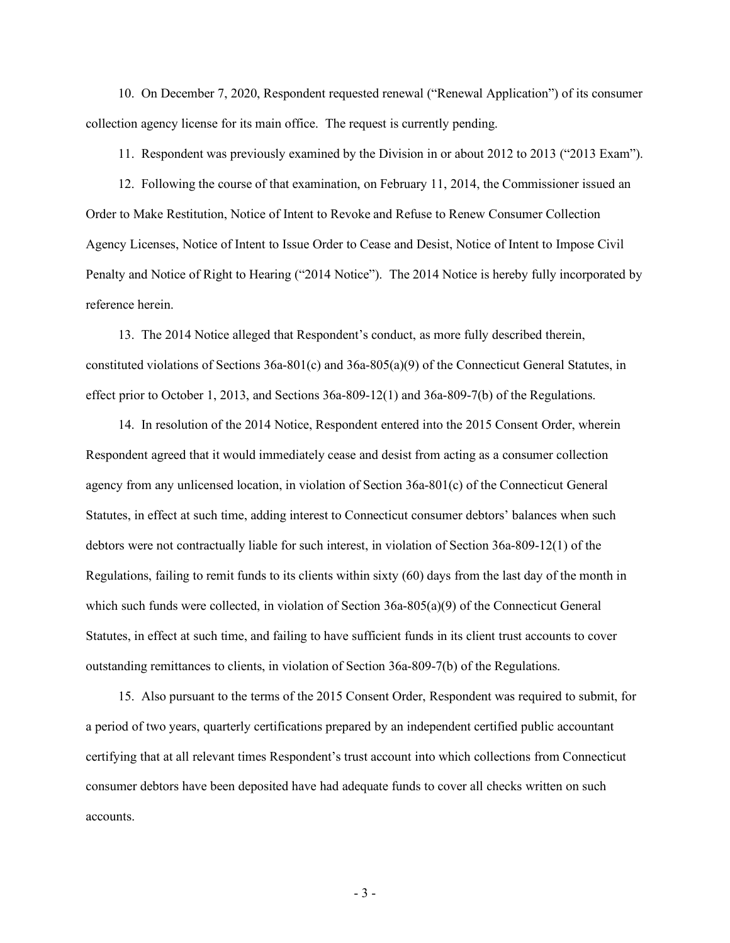10. On December 7, 2020, Respondent requested renewal ("Renewal Application") of its consumer collection agency license for its main office. The request is currently pending.

11. Respondent was previously examined by the Division in or about 2012 to 2013 ("2013 Exam").

12. Following the course of that examination, on February 11, 2014, the Commissioner issued an Order to Make Restitution, Notice of Intent to Revoke and Refuse to Renew Consumer Collection Agency Licenses, Notice of Intent to Issue Order to Cease and Desist, Notice of Intent to Impose Civil Penalty and Notice of Right to Hearing ("2014 Notice"). The 2014 Notice is hereby fully incorporated by reference herein.

13. The 2014 Notice alleged that Respondent's conduct, as more fully described therein, constituted violations of Sections 36a-801(c) and 36a-805(a)(9) of the Connecticut General Statutes, in effect prior to October 1, 2013, and Sections 36a-809-12(1) and 36a-809-7(b) of the Regulations.

14. In resolution of the 2014 Notice, Respondent entered into the 2015 Consent Order, wherein Respondent agreed that it would immediately cease and desist from acting as a consumer collection agency from any unlicensed location, in violation of Section 36a-801(c) of the Connecticut General Statutes, in effect at such time, adding interest to Connecticut consumer debtors' balances when such debtors were not contractually liable for such interest, in violation of Section 36a-809-12(1) of the Regulations, failing to remit funds to its clients within sixty (60) days from the last day of the month in which such funds were collected, in violation of Section 36a-805(a)(9) of the Connecticut General Statutes, in effect at such time, and failing to have sufficient funds in its client trust accounts to cover outstanding remittances to clients, in violation of Section 36a-809-7(b) of the Regulations.

15. Also pursuant to the terms of the 2015 Consent Order, Respondent was required to submit, for a period of two years, quarterly certifications prepared by an independent certified public accountant certifying that at all relevant times Respondent's trust account into which collections from Connecticut consumer debtors have been deposited have had adequate funds to cover all checks written on such accounts.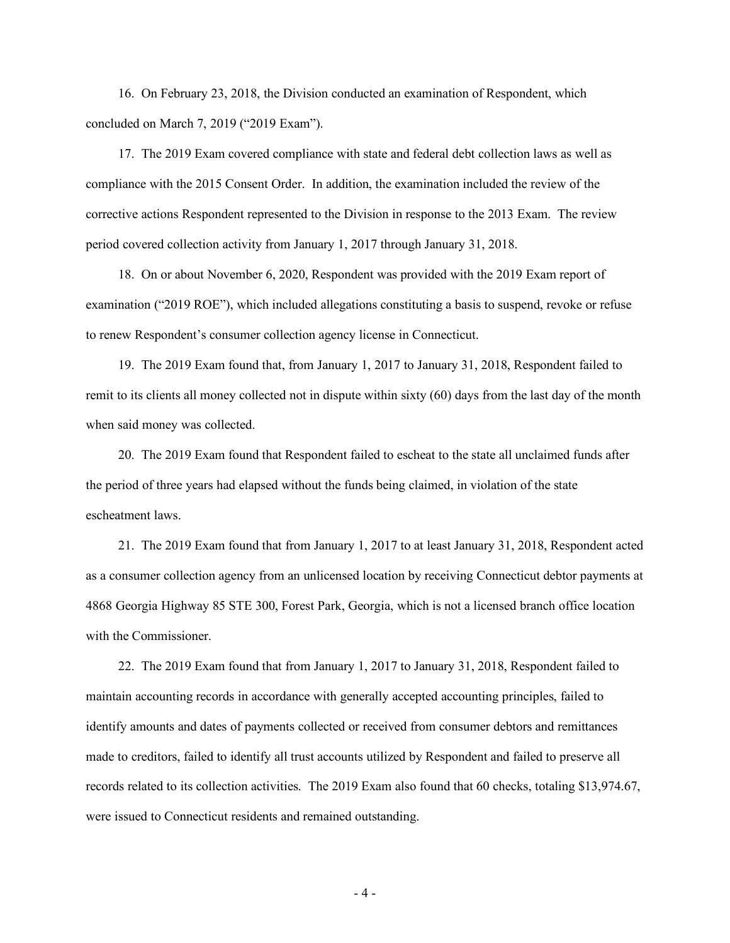16. On February 23, 2018, the Division conducted an examination of Respondent, which concluded on March 7, 2019 ("2019 Exam").

17. The 2019 Exam covered compliance with state and federal debt collection laws as well as compliance with the 2015 Consent Order. In addition, the examination included the review of the corrective actions Respondent represented to the Division in response to the 2013 Exam. The review period covered collection activity from January 1, 2017 through January 31, 2018.

18. On or about November 6, 2020, Respondent was provided with the 2019 Exam report of examination ("2019 ROE"), which included allegations constituting a basis to suspend, revoke or refuse to renew Respondent's consumer collection agency license in Connecticut.

19. The 2019 Exam found that, from January 1, 2017 to January 31, 2018, Respondent failed to remit to its clients all money collected not in dispute within sixty (60) days from the last day of the month when said money was collected.

20. The 2019 Exam found that Respondent failed to escheat to the state all unclaimed funds after the period of three years had elapsed without the funds being claimed, in violation of the state escheatment laws.

21. The 2019 Exam found that from January 1, 2017 to at least January 31, 2018, Respondent acted as a consumer collection agency from an unlicensed location by receiving Connecticut debtor payments at 4868 Georgia Highway 85 STE 300, Forest Park, Georgia, which is not a licensed branch office location with the Commissioner.

22. The 2019 Exam found that from January 1, 2017 to January 31, 2018, Respondent failed to maintain accounting records in accordance with generally accepted accounting principles, failed to identify amounts and dates of payments collected or received from consumer debtors and remittances made to creditors, failed to identify all trust accounts utilized by Respondent and failed to preserve all records related to its collection activities. The 2019 Exam also found that 60 checks, totaling \$13,974.67, were issued to Connecticut residents and remained outstanding.

- 4 -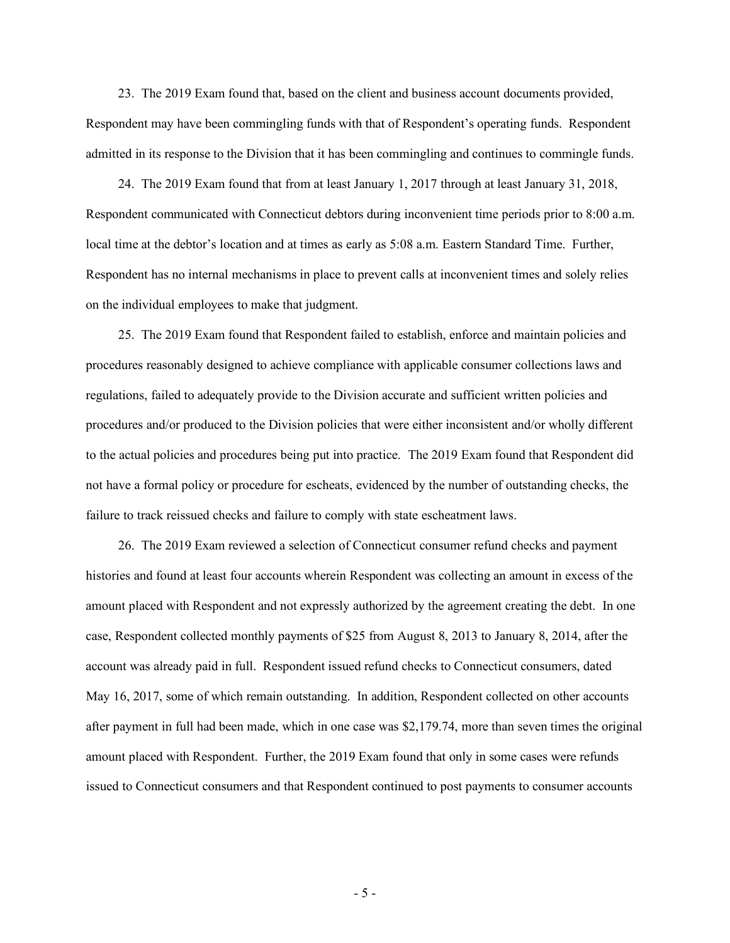23. The 2019 Exam found that, based on the client and business account documents provided, Respondent may have been commingling funds with that of Respondent's operating funds. Respondent admitted in its response to the Division that it has been commingling and continues to commingle funds.

24. The 2019 Exam found that from at least January 1, 2017 through at least January 31, 2018, Respondent communicated with Connecticut debtors during inconvenient time periods prior to 8:00 a.m. local time at the debtor's location and at times as early as 5:08 a.m. Eastern Standard Time. Further, Respondent has no internal mechanisms in place to prevent calls at inconvenient times and solely relies on the individual employees to make that judgment.

25. The 2019 Exam found that Respondent failed to establish, enforce and maintain policies and procedures reasonably designed to achieve compliance with applicable consumer collections laws and regulations, failed to adequately provide to the Division accurate and sufficient written policies and procedures and/or produced to the Division policies that were either inconsistent and/or wholly different to the actual policies and procedures being put into practice. The 2019 Exam found that Respondent did not have a formal policy or procedure for escheats, evidenced by the number of outstanding checks, the failure to track reissued checks and failure to comply with state escheatment laws.

26. The 2019 Exam reviewed a selection of Connecticut consumer refund checks and payment histories and found at least four accounts wherein Respondent was collecting an amount in excess of the amount placed with Respondent and not expressly authorized by the agreement creating the debt. In one case, Respondent collected monthly payments of \$25 from August 8, 2013 to January 8, 2014, after the account was already paid in full. Respondent issued refund checks to Connecticut consumers, dated May 16, 2017, some of which remain outstanding. In addition, Respondent collected on other accounts after payment in full had been made, which in one case was \$2,179.74, more than seven times the original amount placed with Respondent. Further, the 2019 Exam found that only in some cases were refunds issued to Connecticut consumers and that Respondent continued to post payments to consumer accounts

- 5 -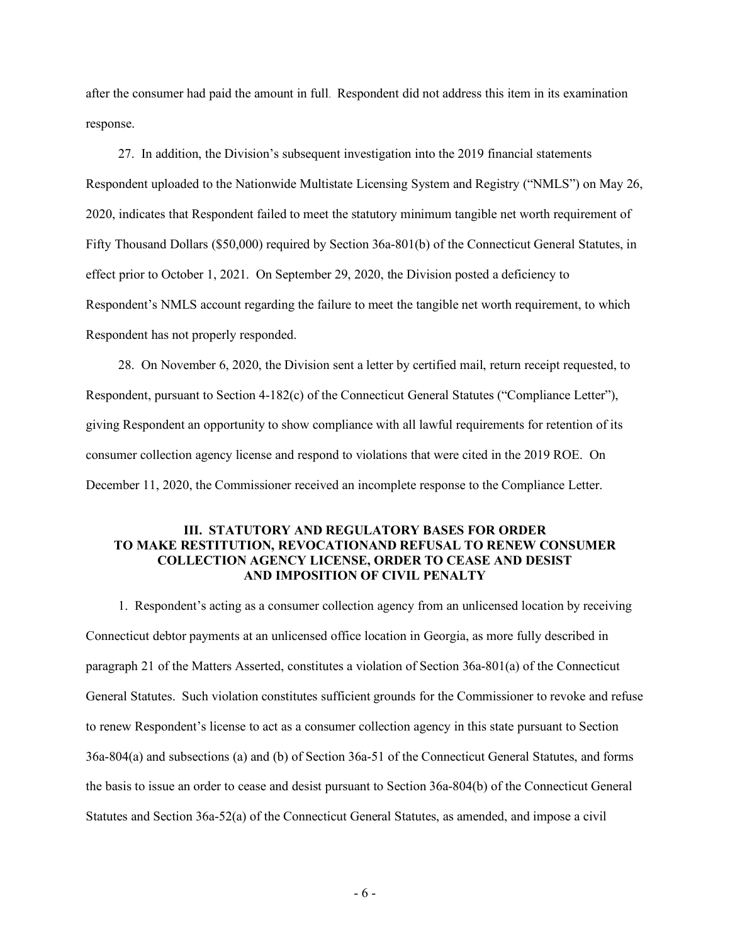after the consumer had paid the amount in full. Respondent did not address this item in its examination response.

27. In addition, the Division's subsequent investigation into the 2019 financial statements Respondent uploaded to the Nationwide Multistate Licensing System and Registry ("NMLS") on May 26, 2020, indicates that Respondent failed to meet the statutory minimum tangible net worth requirement of Fifty Thousand Dollars (\$50,000) required by Section 36a-801(b) of the Connecticut General Statutes, in effect prior to October 1, 2021. On September 29, 2020, the Division posted a deficiency to Respondent's NMLS account regarding the failure to meet the tangible net worth requirement, to which Respondent has not properly responded.

28. On November 6, 2020, the Division sent a letter by certified mail, return receipt requested, to Respondent, pursuant to Section 4-182(c) of the Connecticut General Statutes ("Compliance Letter"), giving Respondent an opportunity to show compliance with all lawful requirements for retention of its consumer collection agency license and respond to violations that were cited in the 2019 ROE. On December 11, 2020, the Commissioner received an incomplete response to the Compliance Letter.

### **III. STATUTORY AND REGULATORY BASES FOR ORDER TO MAKE RESTITUTION, REVOCATIONAND REFUSAL TO RENEW CONSUMER COLLECTION AGENCY LICENSE, ORDER TO CEASE AND DESIST AND IMPOSITION OF CIVIL PENALTY**

1. Respondent's acting as a consumer collection agency from an unlicensed location by receiving Connecticut debtor payments at an unlicensed office location in Georgia, as more fully described in paragraph 21 of the Matters Asserted, constitutes a violation of Section 36a-801(a) of the Connecticut General Statutes. Such violation constitutes sufficient grounds for the Commissioner to revoke and refuse to renew Respondent's license to act as a consumer collection agency in this state pursuant to Section 36a-804(a) and subsections (a) and (b) of Section 36a-51 of the Connecticut General Statutes, and forms the basis to issue an order to cease and desist pursuant to Section 36a-804(b) of the Connecticut General Statutes and Section 36a-52(a) of the Connecticut General Statutes, as amended, and impose a civil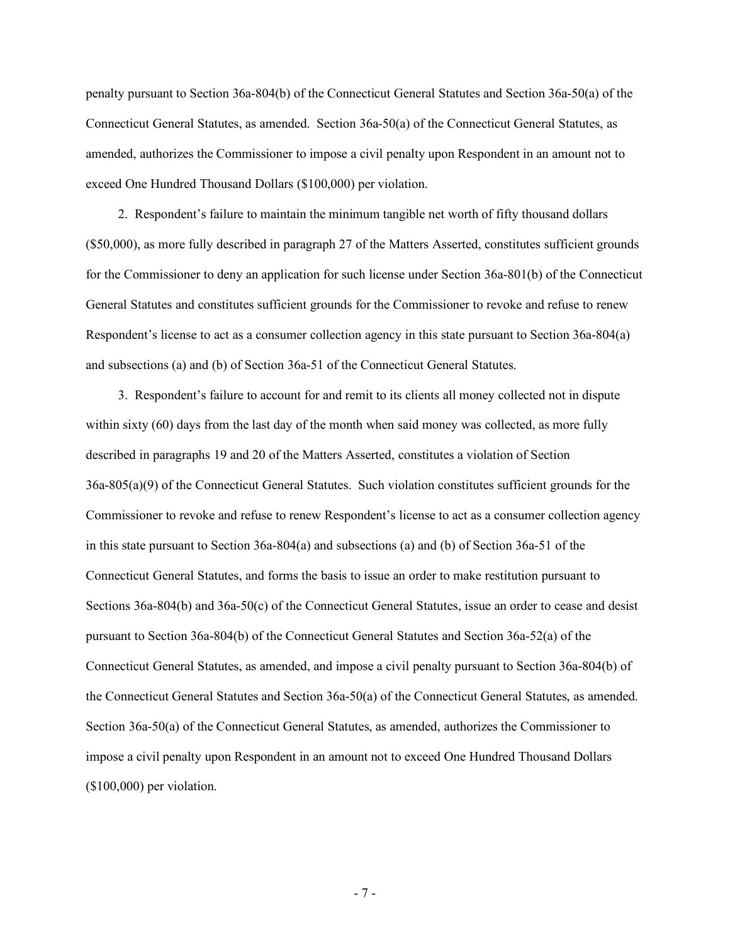penalty pursuant to Section 36a-804(b) of the Connecticut General Statutes and Section 36a-50(a) of the Connecticut General Statutes, as amended. Section 36a-50(a) of the Connecticut General Statutes, as amended, authorizes the Commissioner to impose a civil penalty upon Respondent in an amount not to exceed One Hundred Thousand Dollars (\$100,000) per violation.

2. Respondent's failure to maintain the minimum tangible net worth of fifty thousand dollars (\$50,000), as more fully described in paragraph 27 of the Matters Asserted, constitutes sufficient grounds for the Commissioner to deny an application for such license under Section 36a-801(b) of the Connecticut General Statutes and constitutes sufficient grounds for the Commissioner to revoke and refuse to renew Respondent's license to act as a consumer collection agency in this state pursuant to Section 36a-804(a) and subsections (a) and (b) of Section 36a-51 of the Connecticut General Statutes.

3. Respondent's failure to account for and remit to its clients all money collected not in dispute within sixty (60) days from the last day of the month when said money was collected, as more fully described in paragraphs 19 and 20 of the Matters Asserted, constitutes a violation of Section 36a-805(a)(9) of the Connecticut General Statutes. Such violation constitutes sufficient grounds for the Commissioner to revoke and refuse to renew Respondent's license to act as a consumer collection agency in this state pursuant to Section 36a-804(a) and subsections (a) and (b) of Section 36a-51 of the Connecticut General Statutes, and forms the basis to issue an order to make restitution pursuant to Sections 36a-804(b) and 36a-50(c) of the Connecticut General Statutes, issue an order to cease and desist pursuant to Section 36a-804(b) of the Connecticut General Statutes and Section 36a-52(a) of the Connecticut General Statutes, as amended, and impose a civil penalty pursuant to Section 36a-804(b) of the Connecticut General Statutes and Section 36a-50(a) of the Connecticut General Statutes, as amended. Section 36a-50(a) of the Connecticut General Statutes, as amended, authorizes the Commissioner to impose a civil penalty upon Respondent in an amount not to exceed One Hundred Thousand Dollars (\$100,000) per violation.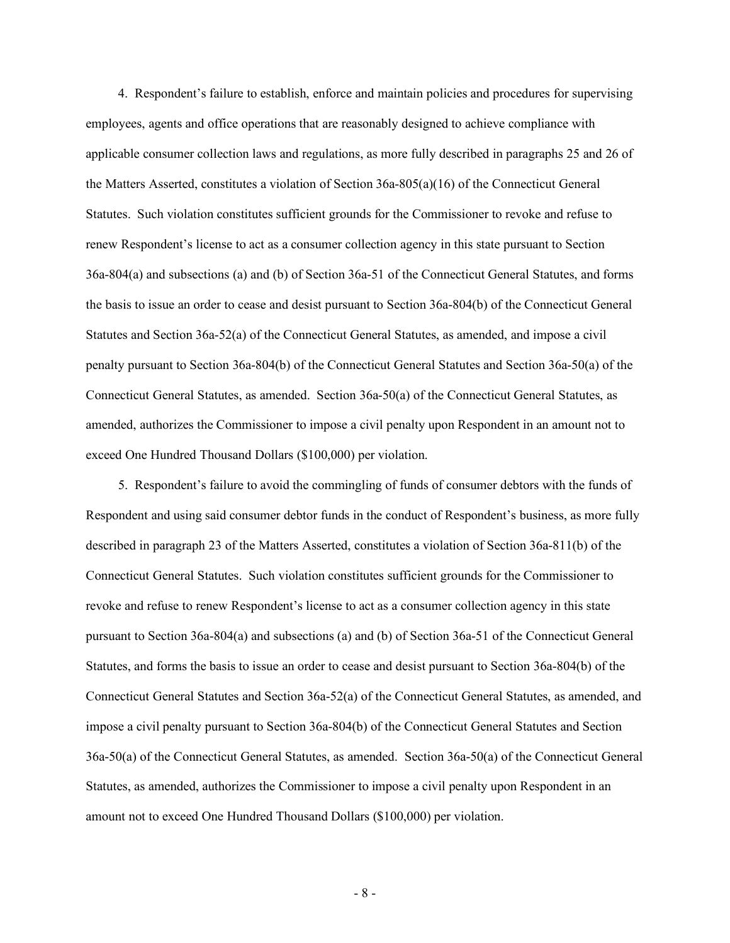4. Respondent's failure to establish, enforce and maintain policies and procedures for supervising employees, agents and office operations that are reasonably designed to achieve compliance with applicable consumer collection laws and regulations, as more fully described in paragraphs 25 and 26 of the Matters Asserted, constitutes a violation of Section 36a-805(a)(16) of the Connecticut General Statutes. Such violation constitutes sufficient grounds for the Commissioner to revoke and refuse to renew Respondent's license to act as a consumer collection agency in this state pursuant to Section 36a-804(a) and subsections (a) and (b) of Section 36a-51 of the Connecticut General Statutes, and forms the basis to issue an order to cease and desist pursuant to Section 36a-804(b) of the Connecticut General Statutes and Section 36a-52(a) of the Connecticut General Statutes, as amended, and impose a civil penalty pursuant to Section 36a-804(b) of the Connecticut General Statutes and Section 36a-50(a) of the Connecticut General Statutes, as amended. Section 36a-50(a) of the Connecticut General Statutes, as amended, authorizes the Commissioner to impose a civil penalty upon Respondent in an amount not to exceed One Hundred Thousand Dollars (\$100,000) per violation.

5. Respondent's failure to avoid the commingling of funds of consumer debtors with the funds of Respondent and using said consumer debtor funds in the conduct of Respondent's business, as more fully described in paragraph 23 of the Matters Asserted, constitutes a violation of Section 36a-811(b) of the Connecticut General Statutes. Such violation constitutes sufficient grounds for the Commissioner to revoke and refuse to renew Respondent's license to act as a consumer collection agency in this state pursuant to Section 36a-804(a) and subsections (a) and (b) of Section 36a-51 of the Connecticut General Statutes, and forms the basis to issue an order to cease and desist pursuant to Section 36a-804(b) of the Connecticut General Statutes and Section 36a-52(a) of the Connecticut General Statutes, as amended, and impose a civil penalty pursuant to Section 36a-804(b) of the Connecticut General Statutes and Section 36a-50(a) of the Connecticut General Statutes, as amended. Section 36a-50(a) of the Connecticut General Statutes, as amended, authorizes the Commissioner to impose a civil penalty upon Respondent in an amount not to exceed One Hundred Thousand Dollars (\$100,000) per violation.

- 8 -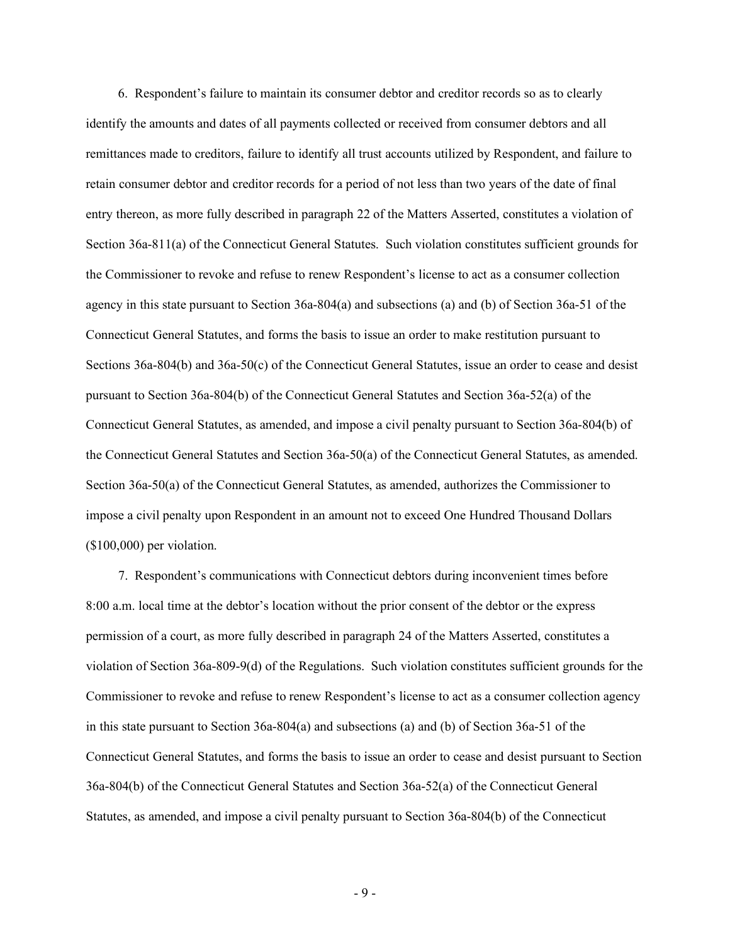6. Respondent's failure to maintain its consumer debtor and creditor records so as to clearly identify the amounts and dates of all payments collected or received from consumer debtors and all remittances made to creditors, failure to identify all trust accounts utilized by Respondent, and failure to retain consumer debtor and creditor records for a period of not less than two years of the date of final entry thereon, as more fully described in paragraph 22 of the Matters Asserted, constitutes a violation of Section 36a-811(a) of the Connecticut General Statutes. Such violation constitutes sufficient grounds for the Commissioner to revoke and refuse to renew Respondent's license to act as a consumer collection agency in this state pursuant to Section 36a-804(a) and subsections (a) and (b) of Section 36a-51 of the Connecticut General Statutes, and forms the basis to issue an order to make restitution pursuant to Sections 36a-804(b) and 36a-50(c) of the Connecticut General Statutes, issue an order to cease and desist pursuant to Section 36a-804(b) of the Connecticut General Statutes and Section 36a-52(a) of the Connecticut General Statutes, as amended, and impose a civil penalty pursuant to Section 36a-804(b) of the Connecticut General Statutes and Section 36a-50(a) of the Connecticut General Statutes, as amended. Section 36a-50(a) of the Connecticut General Statutes, as amended, authorizes the Commissioner to impose a civil penalty upon Respondent in an amount not to exceed One Hundred Thousand Dollars (\$100,000) per violation.

7. Respondent's communications with Connecticut debtors during inconvenient times before 8:00 a.m. local time at the debtor's location without the prior consent of the debtor or the express permission of a court, as more fully described in paragraph 24 of the Matters Asserted, constitutes a violation of Section 36a-809-9(d) of the Regulations. Such violation constitutes sufficient grounds for the Commissioner to revoke and refuse to renew Respondent's license to act as a consumer collection agency in this state pursuant to Section 36a-804(a) and subsections (a) and (b) of Section 36a-51 of the Connecticut General Statutes, and forms the basis to issue an order to cease and desist pursuant to Section 36a-804(b) of the Connecticut General Statutes and Section 36a-52(a) of the Connecticut General Statutes, as amended, and impose a civil penalty pursuant to Section 36a-804(b) of the Connecticut

- 9 -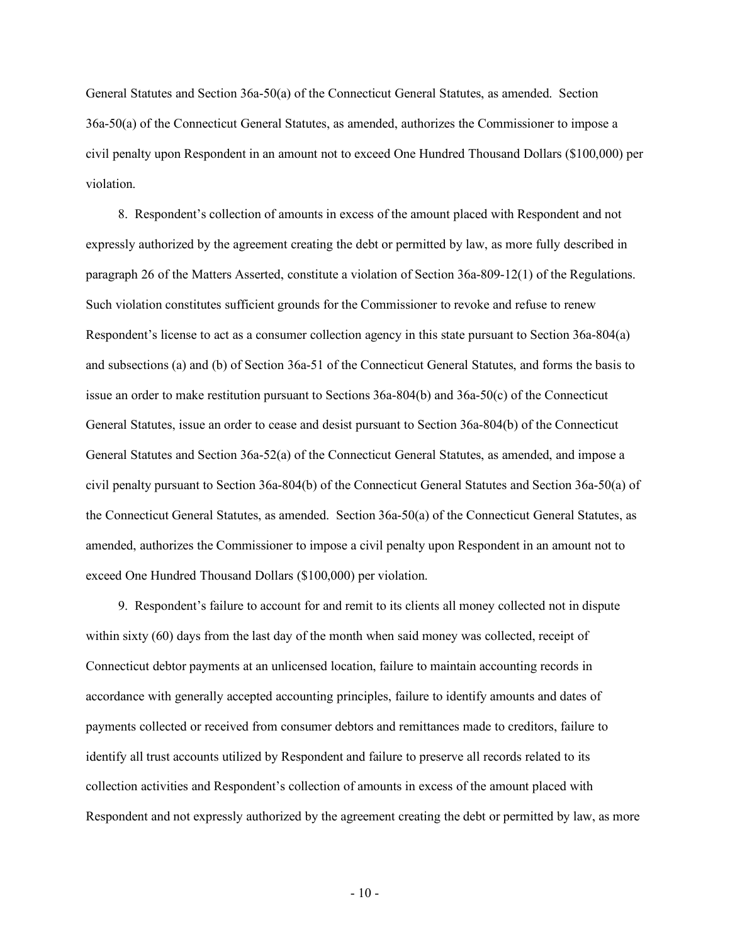General Statutes and Section 36a-50(a) of the Connecticut General Statutes, as amended. Section 36a-50(a) of the Connecticut General Statutes, as amended, authorizes the Commissioner to impose a civil penalty upon Respondent in an amount not to exceed One Hundred Thousand Dollars (\$100,000) per violation.

8. Respondent's collection of amounts in excess of the amount placed with Respondent and not expressly authorized by the agreement creating the debt or permitted by law, as more fully described in paragraph 26 of the Matters Asserted, constitute a violation of Section 36a-809-12(1) of the Regulations. Such violation constitutes sufficient grounds for the Commissioner to revoke and refuse to renew Respondent's license to act as a consumer collection agency in this state pursuant to Section 36a-804(a) and subsections (a) and (b) of Section 36a-51 of the Connecticut General Statutes, and forms the basis to issue an order to make restitution pursuant to Sections 36a-804(b) and 36a-50(c) of the Connecticut General Statutes, issue an order to cease and desist pursuant to Section 36a-804(b) of the Connecticut General Statutes and Section 36a-52(a) of the Connecticut General Statutes, as amended, and impose a civil penalty pursuant to Section 36a-804(b) of the Connecticut General Statutes and Section 36a-50(a) of the Connecticut General Statutes, as amended. Section 36a-50(a) of the Connecticut General Statutes, as amended, authorizes the Commissioner to impose a civil penalty upon Respondent in an amount not to exceed One Hundred Thousand Dollars (\$100,000) per violation.

9. Respondent's failure to account for and remit to its clients all money collected not in dispute within sixty (60) days from the last day of the month when said money was collected, receipt of Connecticut debtor payments at an unlicensed location, failure to maintain accounting records in accordance with generally accepted accounting principles, failure to identify amounts and dates of payments collected or received from consumer debtors and remittances made to creditors, failure to identify all trust accounts utilized by Respondent and failure to preserve all records related to its collection activities and Respondent's collection of amounts in excess of the amount placed with Respondent and not expressly authorized by the agreement creating the debt or permitted by law, as more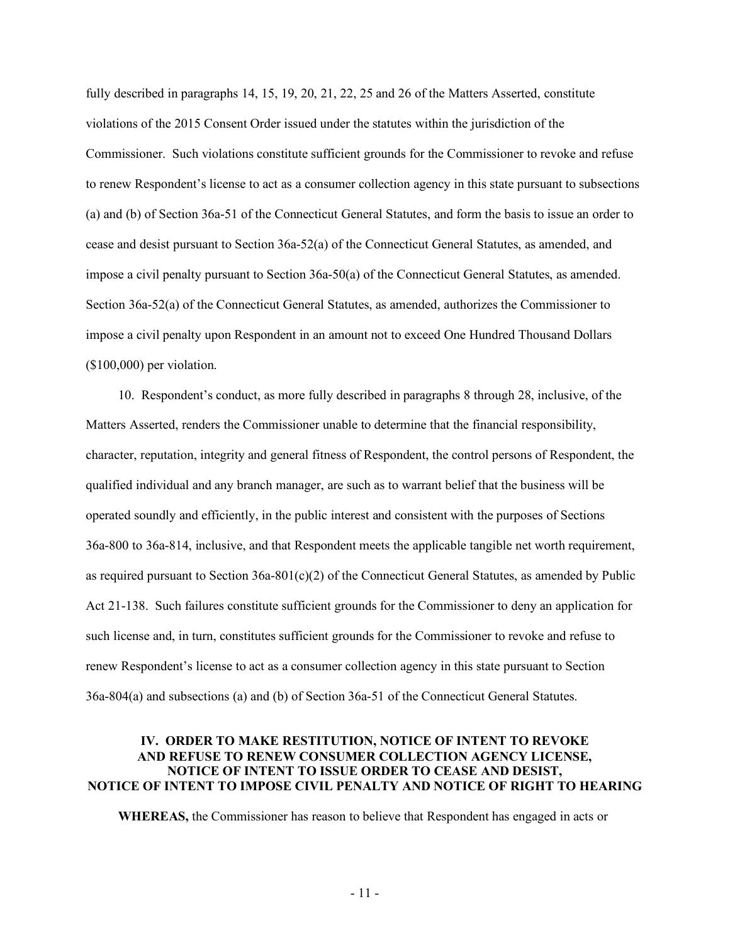fully described in paragraphs 14, 15, 19, 20, 21, 22, 25 and 26 of the Matters Asserted, constitute violations of the 2015 Consent Order issued under the statutes within the jurisdiction of the Commissioner. Such violations constitute sufficient grounds for the Commissioner to revoke and refuse to renew Respondent's license to act as a consumer collection agency in this state pursuant to subsections (a) and (b) of Section 36a-51 of the Connecticut General Statutes, and form the basis to issue an order to cease and desist pursuant to Section 36a-52(a) of the Connecticut General Statutes, as amended, and impose a civil penalty pursuant to Section 36a-50(a) of the Connecticut General Statutes, as amended. Section 36a-52(a) of the Connecticut General Statutes, as amended, authorizes the Commissioner to impose a civil penalty upon Respondent in an amount not to exceed One Hundred Thousand Dollars (\$100,000) per violation.

10. Respondent's conduct, as more fully described in paragraphs 8 through 28, inclusive, of the Matters Asserted, renders the Commissioner unable to determine that the financial responsibility, character, reputation, integrity and general fitness of Respondent, the control persons of Respondent, the qualified individual and any branch manager, are such as to warrant belief that the business will be operated soundly and efficiently, in the public interest and consistent with the purposes of Sections 36a-800 to 36a-814, inclusive, and that Respondent meets the applicable tangible net worth requirement, as required pursuant to Section 36a-801(c)(2) of the Connecticut General Statutes, as amended by Public Act 21-138. Such failures constitute sufficient grounds for the Commissioner to deny an application for such license and, in turn, constitutes sufficient grounds for the Commissioner to revoke and refuse to renew Respondent's license to act as a consumer collection agency in this state pursuant to Section 36a-804(a) and subsections (a) and (b) of Section 36a-51 of the Connecticut General Statutes.

## **IV. ORDER TO MAKE RESTITUTION, NOTICE OF INTENT TO REVOKE AND REFUSE TO RENEW CONSUMER COLLECTION AGENCY LICENSE, NOTICE OF INTENT TO ISSUE ORDER TO CEASE AND DESIST, NOTICE OF INTENT TO IMPOSE CIVIL PENALTY AND NOTICE OF RIGHT TO HEARING**

**WHEREAS,** the Commissioner has reason to believe that Respondent has engaged in acts or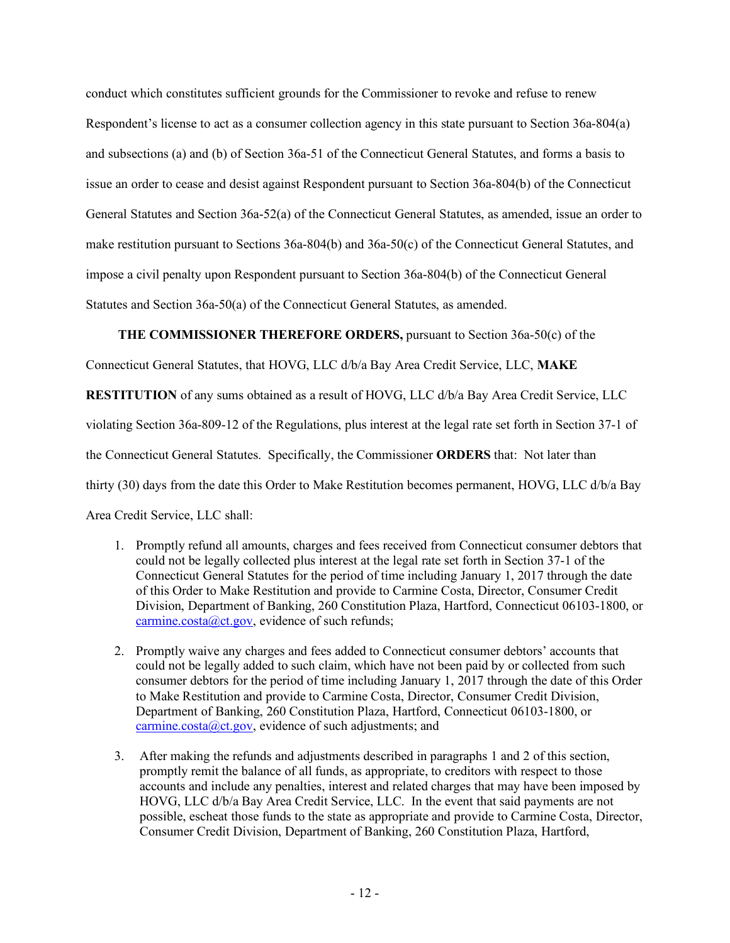conduct which constitutes sufficient grounds for the Commissioner to revoke and refuse to renew Respondent's license to act as a consumer collection agency in this state pursuant to Section 36a-804(a) and subsections (a) and (b) of Section 36a-51 of the Connecticut General Statutes, and forms a basis to issue an order to cease and desist against Respondent pursuant to Section 36a-804(b) of the Connecticut General Statutes and Section 36a-52(a) of the Connecticut General Statutes, as amended, issue an order to make restitution pursuant to Sections 36a-804(b) and 36a-50(c) of the Connecticut General Statutes, and impose a civil penalty upon Respondent pursuant to Section 36a-804(b) of the Connecticut General Statutes and Section 36a-50(a) of the Connecticut General Statutes, as amended.

# **THE COMMISSIONER THEREFORE ORDERS,** pursuant to Section 36a-50(c) of the

Connecticut General Statutes, that HOVG, LLC d/b/a Bay Area Credit Service, LLC, **MAKE** 

**RESTITUTION** of any sums obtained as a result of HOVG, LLC d/b/a Bay Area Credit Service, LLC

violating Section 36a-809-12 of the Regulations, plus interest at the legal rate set forth in Section 37-1 of

the Connecticut General Statutes. Specifically, the Commissioner **ORDERS** that: Not later than

thirty (30) days from the date this Order to Make Restitution becomes permanent, HOVG, LLC d/b/a Bay

Area Credit Service, LLC shall:

- 1. Promptly refund all amounts, charges and fees received from Connecticut consumer debtors that could not be legally collected plus interest at the legal rate set forth in Section 37-1 of the Connecticut General Statutes for the period of time including January 1, 2017 through the date of this Order to Make Restitution and provide to Carmine Costa, Director, Consumer Credit Division, Department of Banking, 260 Constitution Plaza, Hartford, Connecticut 06103-1800, or [carmine.costa@ct.gov,](mailto:carmine.costa@ct.gov) evidence of such refunds;
- 2. Promptly waive any charges and fees added to Connecticut consumer debtors' accounts that could not be legally added to such claim, which have not been paid by or collected from such consumer debtors for the period of time including January 1, 2017 through the date of this Order to Make Restitution and provide to Carmine Costa, Director, Consumer Credit Division, Department of Banking, 260 Constitution Plaza, Hartford, Connecticut 06103-1800, or [carmine.costa@ct.gov,](mailto:carmine.costa@ct.gov) evidence of such adjustments; and
- 3. After making the refunds and adjustments described in paragraphs 1 and 2 of this section, promptly remit the balance of all funds, as appropriate, to creditors with respect to those accounts and include any penalties, interest and related charges that may have been imposed by HOVG, LLC d/b/a Bay Area Credit Service, LLC. In the event that said payments are not possible, escheat those funds to the state as appropriate and provide to Carmine Costa, Director, Consumer Credit Division, Department of Banking, 260 Constitution Plaza, Hartford,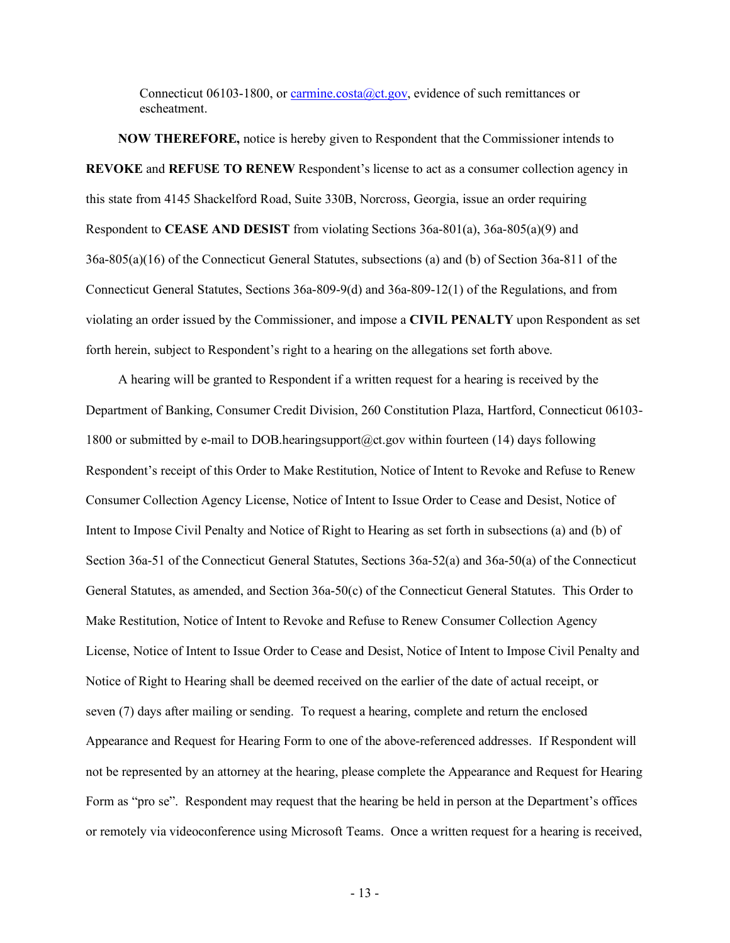Connecticut 06103-1800, o[r carmine.costa@ct.gov,](mailto:carmine.costa@ct.gov) evidence of such remittances or escheatment.

**NOW THEREFORE,** notice is hereby given to Respondent that the Commissioner intends to **REVOKE** and **REFUSE TO RENEW** Respondent's license to act as a consumer collection agency in this state from 4145 Shackelford Road, Suite 330B, Norcross, Georgia, issue an order requiring Respondent to **CEASE AND DESIST** from violating Sections 36a-801(a), 36a-805(a)(9) and 36a-805(a)(16) of the Connecticut General Statutes, subsections (a) and (b) of Section 36a-811 of the Connecticut General Statutes, Sections 36a-809-9(d) and 36a-809-12(1) of the Regulations, and from violating an order issued by the Commissioner, and impose a **CIVIL PENALTY** upon Respondent as set forth herein, subject to Respondent's right to a hearing on the allegations set forth above.

A hearing will be granted to Respondent if a written request for a hearing is received by the Department of Banking, Consumer Credit Division, 260 Constitution Plaza, Hartford, Connecticut 06103- 1800 or submitted by e-mail to DOB.hearingsupport@ct.gov within fourteen (14) days following Respondent's receipt of this Order to Make Restitution, Notice of Intent to Revoke and Refuse to Renew Consumer Collection Agency License, Notice of Intent to Issue Order to Cease and Desist, Notice of Intent to Impose Civil Penalty and Notice of Right to Hearing as set forth in subsections (a) and (b) of Section 36a-51 of the Connecticut General Statutes, Sections 36a-52(a) and 36a-50(a) of the Connecticut General Statutes, as amended, and Section 36a-50(c) of the Connecticut General Statutes. This Order to Make Restitution, Notice of Intent to Revoke and Refuse to Renew Consumer Collection Agency License, Notice of Intent to Issue Order to Cease and Desist, Notice of Intent to Impose Civil Penalty and Notice of Right to Hearing shall be deemed received on the earlier of the date of actual receipt, or seven (7) days after mailing or sending. To request a hearing, complete and return the enclosed Appearance and Request for Hearing Form to one of the above-referenced addresses. If Respondent will not be represented by an attorney at the hearing, please complete the Appearance and Request for Hearing Form as "pro se". Respondent may request that the hearing be held in person at the Department's offices or remotely via videoconference using Microsoft Teams. Once a written request for a hearing is received,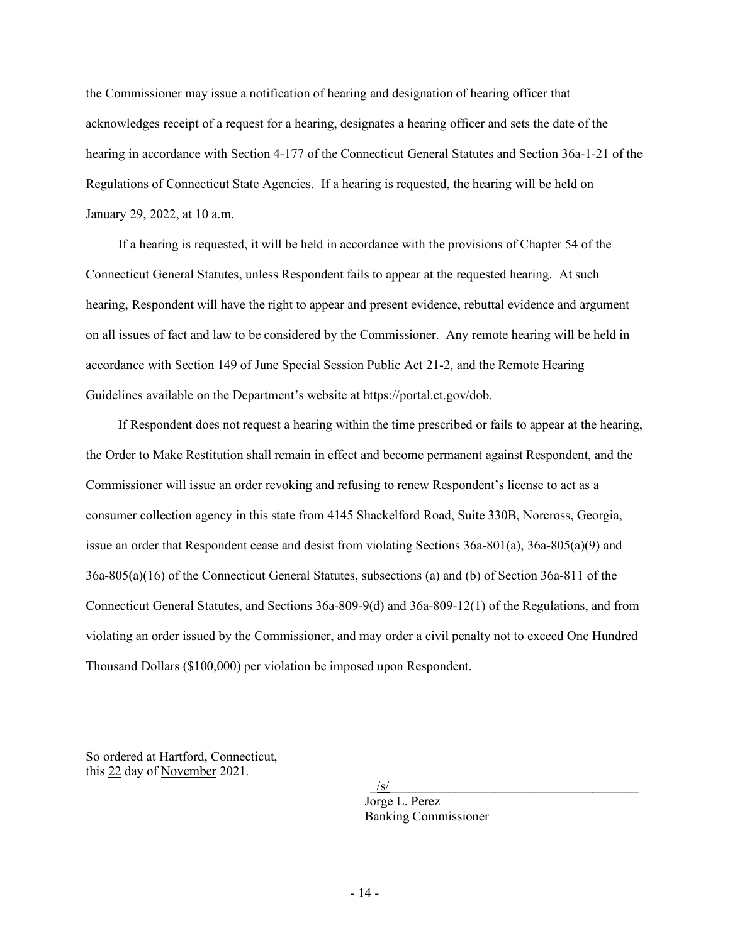the Commissioner may issue a notification of hearing and designation of hearing officer that acknowledges receipt of a request for a hearing, designates a hearing officer and sets the date of the hearing in accordance with Section 4-177 of the Connecticut General Statutes and Section 36a-1-21 of the Regulations of Connecticut State Agencies. If a hearing is requested, the hearing will be held on January 29, 2022, at 10 a.m.

If a hearing is requested, it will be held in accordance with the provisions of Chapter 54 of the Connecticut General Statutes, unless Respondent fails to appear at the requested hearing. At such hearing, Respondent will have the right to appear and present evidence, rebuttal evidence and argument on all issues of fact and law to be considered by the Commissioner. Any remote hearing will be held in accordance with Section 149 of June Special Session Public Act 21-2, and the Remote Hearing Guidelines available on the Department's website at https://portal.ct.gov/dob.

If Respondent does not request a hearing within the time prescribed or fails to appear at the hearing, the Order to Make Restitution shall remain in effect and become permanent against Respondent, and the Commissioner will issue an order revoking and refusing to renew Respondent's license to act as a consumer collection agency in this state from 4145 Shackelford Road, Suite 330B, Norcross, Georgia, issue an order that Respondent cease and desist from violating Sections 36a-801(a), 36a-805(a)(9) and 36a-805(a)(16) of the Connecticut General Statutes, subsections (a) and (b) of Section 36a-811 of the Connecticut General Statutes, and Sections 36a-809-9(d) and 36a-809-12(1) of the Regulations, and from violating an order issued by the Commissioner, and may order a civil penalty not to exceed One Hundred Thousand Dollars (\$100,000) per violation be imposed upon Respondent.

So ordered at Hartford, Connecticut, this 22 day of November 2021.

> $\frac{1}{s}$ Jorge L. Perez Banking Commissioner